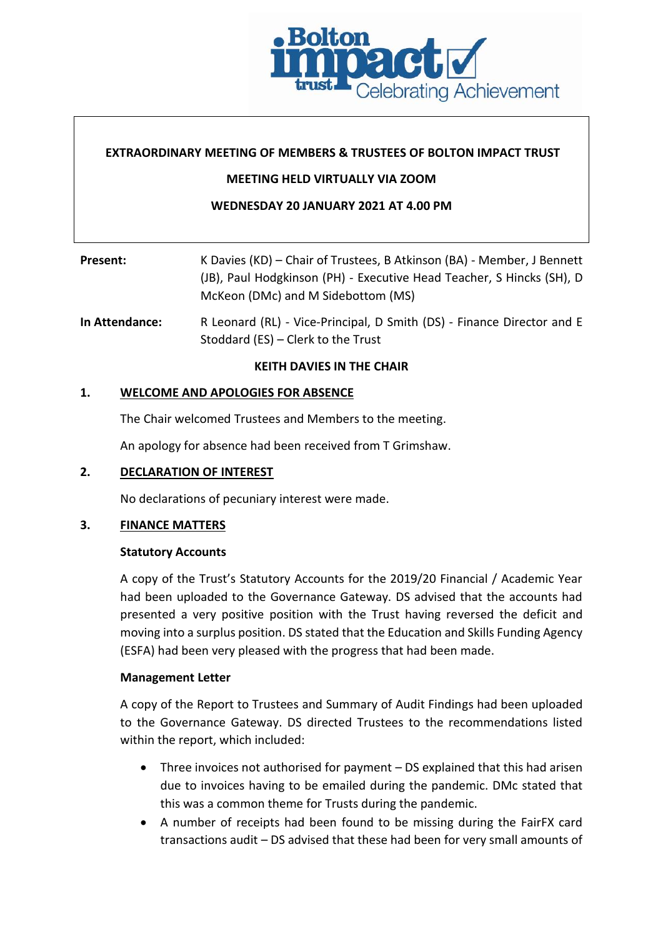

# **EXTRAORDINARY MEETING OF MEMBERS & TRUSTEES OF BOLTON IMPACT TRUST**

# **MEETING HELD VIRTUALLY VIA ZOOM**

# **WEDNESDAY 20 JANUARY 2021 AT 4.00 PM**

| <b>Present:</b>       | K Davies (KD) – Chair of Trustees, B Atkinson (BA) - Member, J Bennett<br>(JB), Paul Hodgkinson (PH) - Executive Head Teacher, S Hincks (SH), D<br>McKeon (DMc) and M Sidebottom (MS) |
|-----------------------|---------------------------------------------------------------------------------------------------------------------------------------------------------------------------------------|
| <b>In Attendance:</b> | R Leonard (RL) - Vice-Principal, D Smith (DS) - Finance Director and E                                                                                                                |

Stoddard (ES) – Clerk to the Trust

### **KEITH DAVIES IN THE CHAIR**

### **1. WELCOME AND APOLOGIES FOR ABSENCE**

The Chair welcomed Trustees and Members to the meeting.

An apology for absence had been received from T Grimshaw.

# **2. DECLARATION OF INTEREST**

No declarations of pecuniary interest were made.

### **3. FINANCE MATTERS**

### **Statutory Accounts**

A copy of the Trust's Statutory Accounts for the 2019/20 Financial / Academic Year had been uploaded to the Governance Gateway. DS advised that the accounts had presented a very positive position with the Trust having reversed the deficit and moving into a surplus position. DS stated that the Education and Skills Funding Agency (ESFA) had been very pleased with the progress that had been made.

### **Management Letter**

A copy of the Report to Trustees and Summary of Audit Findings had been uploaded to the Governance Gateway. DS directed Trustees to the recommendations listed within the report, which included:

- Three invoices not authorised for payment DS explained that this had arisen due to invoices having to be emailed during the pandemic. DMc stated that this was a common theme for Trusts during the pandemic.
- A number of receipts had been found to be missing during the FairFX card transactions audit – DS advised that these had been for very small amounts of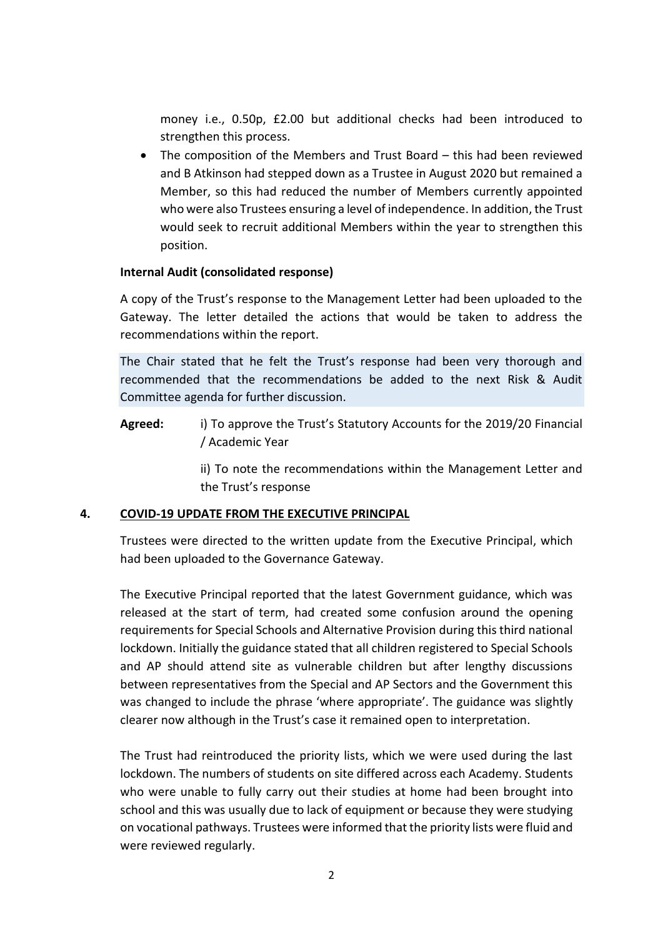money i.e., 0.50p, £2.00 but additional checks had been introduced to strengthen this process.

• The composition of the Members and Trust Board – this had been reviewed and B Atkinson had stepped down as a Trustee in August 2020 but remained a Member, so this had reduced the number of Members currently appointed who were also Trustees ensuring a level of independence. In addition, the Trust would seek to recruit additional Members within the year to strengthen this position.

### **Internal Audit (consolidated response)**

A copy of the Trust's response to the Management Letter had been uploaded to the Gateway. The letter detailed the actions that would be taken to address the recommendations within the report.

The Chair stated that he felt the Trust's response had been very thorough and recommended that the recommendations be added to the next Risk & Audit Committee agenda for further discussion.

**Agreed:** i) To approve the Trust's Statutory Accounts for the 2019/20 Financial / Academic Year

> ii) To note the recommendations within the Management Letter and the Trust's response

#### **4. COVID-19 UPDATE FROM THE EXECUTIVE PRINCIPAL**

Trustees were directed to the written update from the Executive Principal, which had been uploaded to the Governance Gateway.

The Executive Principal reported that the latest Government guidance, which was released at the start of term, had created some confusion around the opening requirements for Special Schools and Alternative Provision during this third national lockdown. Initially the guidance stated that all children registered to Special Schools and AP should attend site as vulnerable children but after lengthy discussions between representatives from the Special and AP Sectors and the Government this was changed to include the phrase 'where appropriate'. The guidance was slightly clearer now although in the Trust's case it remained open to interpretation.

The Trust had reintroduced the priority lists, which we were used during the last lockdown. The numbers of students on site differed across each Academy. Students who were unable to fully carry out their studies at home had been brought into school and this was usually due to lack of equipment or because they were studying on vocational pathways. Trustees were informed that the priority lists were fluid and were reviewed regularly.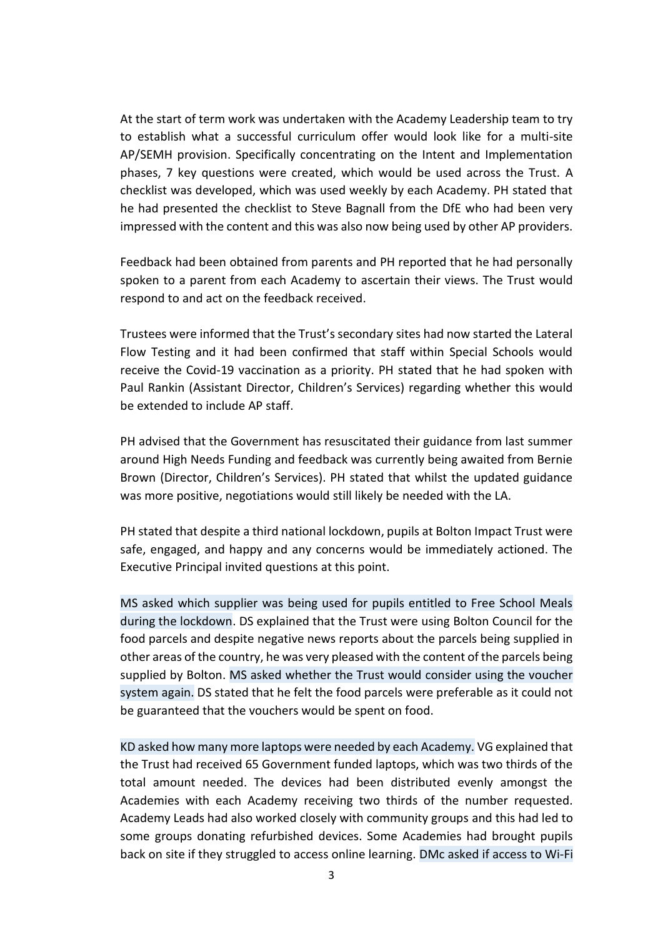At the start of term work was undertaken with the Academy Leadership team to try to establish what a successful curriculum offer would look like for a multi-site AP/SEMH provision. Specifically concentrating on the Intent and Implementation phases, 7 key questions were created, which would be used across the Trust. A checklist was developed, which was used weekly by each Academy. PH stated that he had presented the checklist to Steve Bagnall from the DfE who had been very impressed with the content and this was also now being used by other AP providers.

Feedback had been obtained from parents and PH reported that he had personally spoken to a parent from each Academy to ascertain their views. The Trust would respond to and act on the feedback received.

Trustees were informed that the Trust's secondary sites had now started the Lateral Flow Testing and it had been confirmed that staff within Special Schools would receive the Covid-19 vaccination as a priority. PH stated that he had spoken with Paul Rankin (Assistant Director, Children's Services) regarding whether this would be extended to include AP staff.

PH advised that the Government has resuscitated their guidance from last summer around High Needs Funding and feedback was currently being awaited from Bernie Brown (Director, Children's Services). PH stated that whilst the updated guidance was more positive, negotiations would still likely be needed with the LA.

PH stated that despite a third national lockdown, pupils at Bolton Impact Trust were safe, engaged, and happy and any concerns would be immediately actioned. The Executive Principal invited questions at this point.

MS asked which supplier was being used for pupils entitled to Free School Meals during the lockdown. DS explained that the Trust were using Bolton Council for the food parcels and despite negative news reports about the parcels being supplied in other areas of the country, he was very pleased with the content of the parcels being supplied by Bolton. MS asked whether the Trust would consider using the voucher system again. DS stated that he felt the food parcels were preferable as it could not be guaranteed that the vouchers would be spent on food.

KD asked how many more laptops were needed by each Academy. VG explained that the Trust had received 65 Government funded laptops, which was two thirds of the total amount needed. The devices had been distributed evenly amongst the Academies with each Academy receiving two thirds of the number requested. Academy Leads had also worked closely with community groups and this had led to some groups donating refurbished devices. Some Academies had brought pupils back on site if they struggled to access online learning. DMc asked if access to Wi-Fi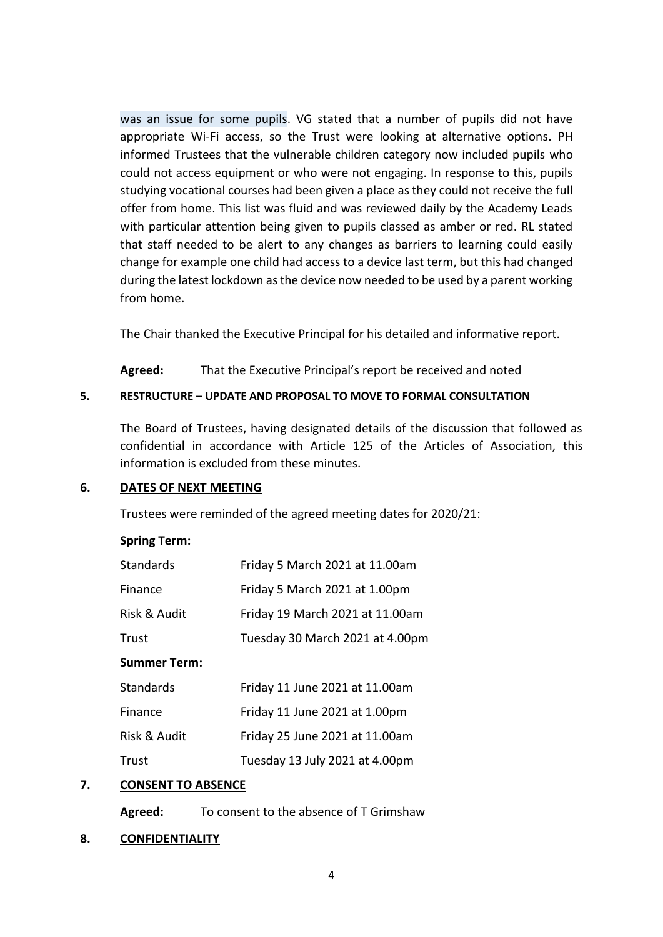was an issue for some pupils. VG stated that a number of pupils did not have appropriate Wi-Fi access, so the Trust were looking at alternative options. PH informed Trustees that the vulnerable children category now included pupils who could not access equipment or who were not engaging. In response to this, pupils studying vocational courses had been given a place as they could not receive the full offer from home. This list was fluid and was reviewed daily by the Academy Leads with particular attention being given to pupils classed as amber or red. RL stated that staff needed to be alert to any changes as barriers to learning could easily change for example one child had access to a device last term, but this had changed during the latest lockdown as the device now needed to be used by a parent working from home.

The Chair thanked the Executive Principal for his detailed and informative report.

**Agreed:** That the Executive Principal's report be received and noted

### **5. RESTRUCTURE – UPDATE AND PROPOSAL TO MOVE TO FORMAL CONSULTATION**

The Board of Trustees, having designated details of the discussion that followed as confidential in accordance with Article 125 of the Articles of Association, this information is excluded from these minutes.

### **6. DATES OF NEXT MEETING**

Trustees were reminded of the agreed meeting dates for 2020/21:

### **Spring Term:**

| <b>Standards</b> | Friday 5 March 2021 at 11.00am  |
|------------------|---------------------------------|
| Finance          | Friday 5 March 2021 at 1.00pm   |
| Risk & Audit     | Friday 19 March 2021 at 11.00am |
| Trust            | Tuesday 30 March 2021 at 4.00pm |
| Summer Term:     |                                 |
| <b>Standards</b> | Friday 11 June 2021 at 11.00am  |
| Finance          | Friday 11 June 2021 at 1.00pm   |
| Risk & Audit     | Friday 25 June 2021 at 11.00am  |
| Trust            | Tuesday 13 July 2021 at 4.00pm  |
|                  |                                 |

# **7. CONSENT TO ABSENCE**

**Agreed:** To consent to the absence of T Grimshaw

### **8. CONFIDENTIALITY**